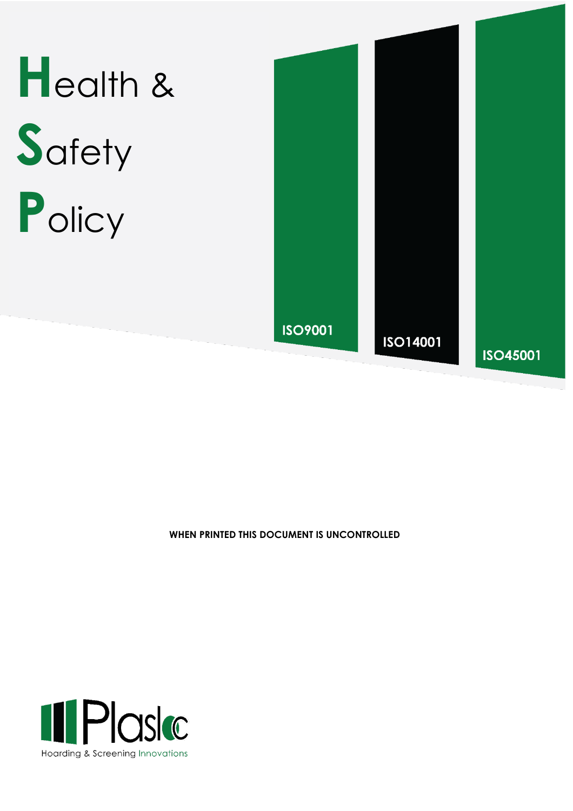# Health & Safety Policy



WHEN PRINTED THIS DOCUMENT IS UNCONTROLLED

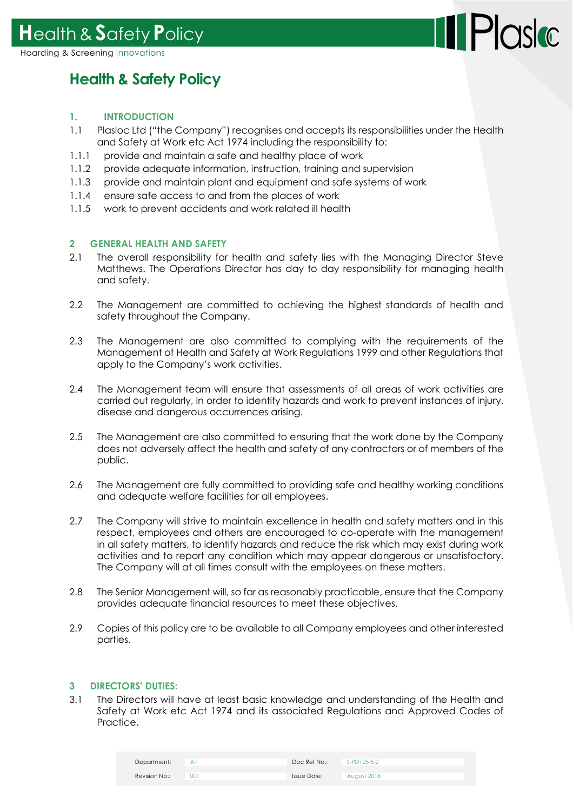### **Health & Safety Policy**

#### **1. INTRODUCTION**

1.1 Plasloc Ltd ("the Company") recognises and accepts its responsibilities under the Health and Safety at Work etc Act 1974 including the responsibility to:

**III Plase** 

- 1.1.1 provide and maintain a safe and healthy place of work
- 1.1.2 provide adequate information, instruction, training and supervision
- 1.1.3 provide and maintain plant and equipment and safe systems of work
- 1.1.4 ensure safe access to and from the places of work
- 1.1.5 work to prevent accidents and work related ill health

#### **2 GENERAL HEALTH AND SAFETY**

- 2.1 The overall responsibility for health and safety lies with the Managing Director Steve Matthews. The Operations Director has day to day responsibility for managing health and safety.
- 2.2 The Management are committed to achieving the highest standards of health and safety throughout the Company.
- 2.3 The Management are also committed to complying with the requirements of the Management of Health and Safety at Work Regulations 1999 and other Regulations that apply to the Company's work activities.
- 2.4 The Management team will ensure that assessments of all areas of work activities are carried out regularly, in order to identify hazards and work to prevent instances of injury, disease and dangerous occurrences arising.
- 2.5 The Management are also committed to ensuring that the work done by the Company does not adversely affect the health and safety of any contractors or of members of the public.
- 2.6 The Management are fully committed to providing safe and healthy working conditions and adequate welfare facilities for all employees.
- 2.7 The Company will strive to maintain excellence in health and safety matters and in this respect, employees and others are encouraged to co-operate with the management in all safety matters, to identify hazards and reduce the risk which may exist during work activities and to report any condition which may appear dangerous or unsatisfactory. The Company will at all times consult with the employees on these matters.
- 2.8 The Senior Management will, so far as reasonably practicable, ensure that the Company provides adequate financial resources to meet these objectives.
- 2.9 Copies of this policy are to be available to all Company employees and other interested parties.

#### **3 DIRECTORS' DUTIES:**

3.1 The Directors will have at least basic knowledge and understanding of the Health and Safety at Work etc Act 1974 and its associated Regulations and Approved Codes of Practice.

| Department:   | All | Doc Ref No.:       | S-PD125-5.2 |
|---------------|-----|--------------------|-------------|
| Revision No.: | 001 | <b>Issue Date:</b> | August 2018 |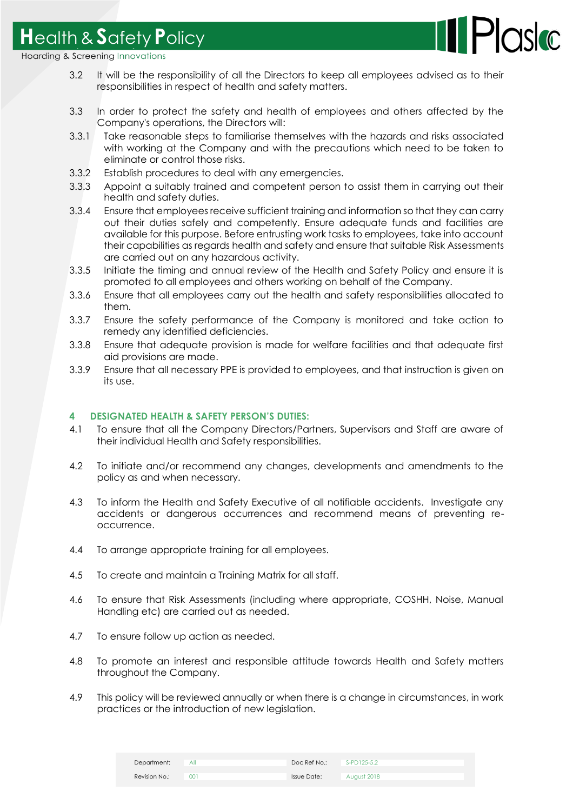## **H**ealth & **S**afety **P**olicy

Hoarding & Screening Innovations

- 3.2 It will be the responsibility of all the Directors to keep all employees advised as to their responsibilities in respect of health and safety matters.
- 3.3 In order to protect the safety and health of employees and others affected by the Company's operations, the Directors will:
- 3.3.1 Take reasonable steps to familiarise themselves with the hazards and risks associated with working at the Company and with the precautions which need to be taken to eliminate or control those risks.
- 3.3.2 Establish procedures to deal with any emergencies.
- 3.3.3 Appoint a suitably trained and competent person to assist them in carrying out their health and safety duties.
- 3.3.4 Ensure that employees receive sufficient training and information so that they can carry out their duties safely and competently. Ensure adequate funds and facilities are available for this purpose. Before entrusting work tasks to employees, take into account their capabilities as regards health and safety and ensure that suitable Risk Assessments are carried out on any hazardous activity.
- 3.3.5 Initiate the timing and annual review of the Health and Safety Policy and ensure it is promoted to all employees and others working on behalf of the Company.
- 3.3.6 Ensure that all employees carry out the health and safety responsibilities allocated to them.
- 3.3.7 Ensure the safety performance of the Company is monitored and take action to remedy any identified deficiencies.
- 3.3.8 Ensure that adequate provision is made for welfare facilities and that adequate first aid provisions are made.
- 3.3.9 Ensure that all necessary PPE is provided to employees, and that instruction is given on its use.

#### **4 DESIGNATED HEALTH & SAFETY PERSON'S DUTIES:**

- 4.1 To ensure that all the Company Directors/Partners, Supervisors and Staff are aware of their individual Health and Safety responsibilities.
- 4.2 To initiate and/or recommend any changes, developments and amendments to the policy as and when necessary.
- 4.3 To inform the Health and Safety Executive of all notifiable accidents. Investigate any accidents or dangerous occurrences and recommend means of preventing reoccurrence.
- 4.4 To arrange appropriate training for all employees.
- 4.5 To create and maintain a Training Matrix for all staff.
- 4.6 To ensure that Risk Assessments (including where appropriate, COSHH, Noise, Manual Handling etc) are carried out as needed.
- 4.7 To ensure follow up action as needed.
- 4.8 To promote an interest and responsible attitude towards Health and Safety matters throughout the Company.
- 4.9 This policy will be reviewed annually or when there is a change in circumstances, in work practices or the introduction of new legislation.

| Department:   | All | Doc Ref No.:       | S-PD125-5.2 |
|---------------|-----|--------------------|-------------|
| Revision No.: | OO. | <b>Issue Date:</b> | August 2018 |